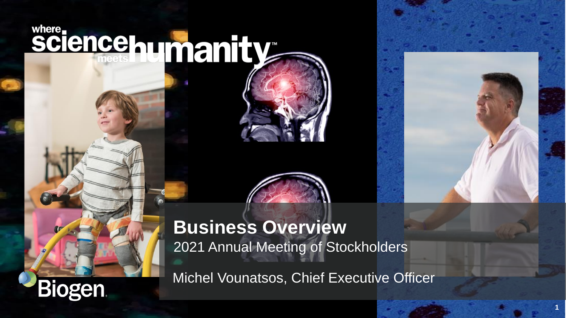# sciencehumanity

**Biogen** 





Michel Vounatsos, Chief Executive Officer

**1**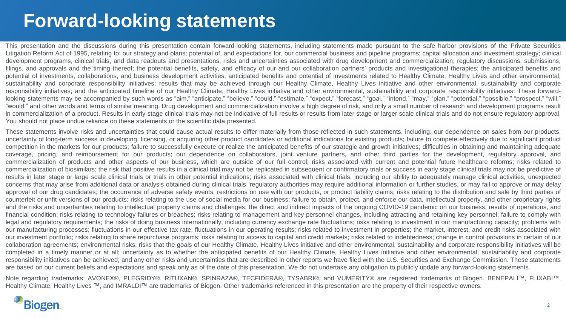# **Forward-looking statements**

This presentation and the discussions during this presentation contain forward-looking statements, including statements made pursuant to the safe harbor provisions of the Private Securities Litigation Reform Act of 1995, relating to: our strategy and plans; potential of, and expectations for, our commercial business and pipeline programs; capital allocation and investment strategy; clinical development programs, clinical trials, and data readouts and presentations; risks and uncertainties associated with drug development and commercialization; regulatory discussions, submissions, filings, and approvals and the timing thereof; the potential benefits, safety, and efficacy of our and our collaboration partners' products and investigational therapies; the anticipated benefits and potential of investments, collaborations, and business development activities; anticipated benefits and potential of investments related to Healthy Climate, Healthy Lives and other environmental, sustainability and corporate responsibility initiatives; results that may be achieved through our Healthy Climate, Healthy Lives initiative and other environmental, sustainability and corporate responsibility initiatives; and the anticipated timeline of our Healthy Climate, Healthy Lives initiative and other environmental, sustainability and corporate responsibility initiatives. These forwardlooking statements may be accompanied by such words as "aim," "anticipate," "believe," "could," "estimate," "expect," "forecast," "goal," "intend," "may," "plan," "potential," "possible," "prospect," "will," "would," and other words and terms of similar meaning. Drug development and commercialization involve a high degree of risk, and only a small number of research and development programs result in commercialization of a product. Results in early-stage clinical trials may not be indicative of full results or results from later stage or larger scale clinical trials and do not ensure regulatory approval. You should not place undue reliance on these statements or the scientific data presented.

These statements involve risks and uncertainties that could cause actual results to differ materially from those reflected in such statements, including: our dependence on sales from our products; uncertainty of long-term success in developing, licensing, or acquiring other product candidates or additional indications for existing products; failure to compete effectively due to significant product competition in the markets for our products; failure to successfully execute or realize the anticipated benefits of our strategic and growth initiatives; difficulties in obtaining and maintaining adequate coverage, pricing, and reimbursement for our products; our dependence on collaborators, joint venture partners, and other third parties for the development, regulatory approval, and commercialization of products and other aspects of our business, which are outside of our full control; risks associated with current and potential future healthcare reforms; risks related to commercialization of biosimilars; the risk that positive results in a clinical trial may not be replicated in subsequent or confirmatory trials or success in early stage clinical trials may not be predictive of results in later stage or large scale clinical trials or trials in other potential indications; risks associated with clinical trials, including our ability to adequately manage clinical activities, unexpected concerns that may arise from additional data or analysis obtained during clinical trials, regulatory authorities may require additional information or further studies, or may fail to approve or may delay approval of our drug candidates; the occurrence of adverse safety events, restrictions on use with our products, or product liability claims; risks relating to the distribution and sale by third parties of counterfeit or unfit versions of our products; risks relating to the use of social media for our business; failure to obtain, protect, and enforce our data, intellectual property, and other proprietary rights and the risks and uncertainties relating to intellectual property claims and challenges; the direct and indirect impacts of the ongoing COVID-19 pandemic on our business, results of operations, and financial condition; risks relating to technology failures or breaches; risks relating to management and key personnel changes, including attracting and retaining key personnel; failure to comply with legal and regulatory requirements; the risks of doing business internationally, including currency exchange rate fluctuations; risks relating to investment in our manufacturing capacity; problems with our manufacturing processes; fluctuations in our effective tax rate; fluctuations in our operating results; risks related to investment in properties; the market, interest, and credit risks associated with our investment portfolio; risks relating to share repurchase programs; risks relating to access to capital and credit markets; risks related to indebtedness; change in control provisions in certain of our collaboration agreements; environmental risks; risks that the goals of our Healthy Climate, Healthy Lives initiative and other environmental, sustainability and corporate responsibility initiatives will be completed in a timely manner or at all; uncertainty as to whether the anticipated benefits of our Healthy Climate, Healthy Lives initiative and other environmental, sustainability and corporate responsibility initiatives can be achieved; and any other risks and uncertainties that are described in other reports we have filed with the U.S. Securities and Exchange Commission. These statements are based on our current beliefs and expectations and speak only as of the date of this presentation. We do not undertake any obligation to publicly update any forward-looking statements.

Note regarding trademarks: AVONEX®, PLEGRIDY®, RITUXAN®, SPINRAZA®, TECFIDERA®, TYSABRI®, and VUMERITY® are registered trademarks of Biogen. BENEPALI™, FLIXABI™, Healthy Climate, Healthy Lives ™, and IMRALDI™ are trademarks of Biogen. Other trademarks referenced in this presentation are the property of their respective owners.

### **Biogen**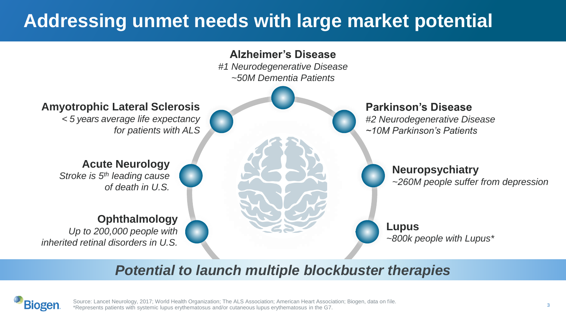# **Addressing unmet needs with large market potential**



### *Potential to launch multiple blockbuster therapies*



Source: Lancet Neurology, 2017; World Health Organization; The ALS Association; American Heart Association; Biogen, data on file. \*Represents patients with systemic lupus erythematosus and/or cutaneous lupus erythematosus in the G7.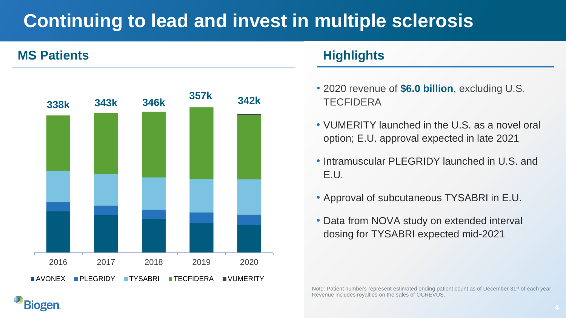# **Continuing to lead and invest in multiple sclerosis**

#### **MS Patients Highlights**

**Biogen**.



- 2020 revenue of **\$6.0 billion**, excluding U.S. **TECEIDERA**
- VUMERITY launched in the U.S. as a novel oral option; E.U. approval expected in late 2021
- Intramuscular PLEGRIDY launched in U.S. and E.U.
- Approval of subcutaneous TYSABRI in E.U.
- Data from NOVA study on extended interval dosing for TYSABRI expected mid-2021

Note: Patient numbers represent estimated ending patient count as of December 31<sup>st</sup> of each year. Revenue includes royalties on the sales of OCREVUS.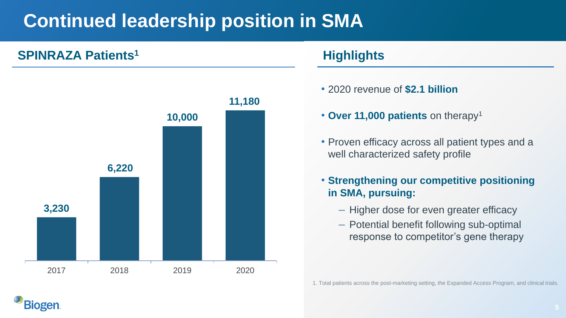# **Continued leadership position in SMA**

### **SPINRAZA Patients<sup>1</sup> <b>And Allen Except Highlights**

**Biogen** 



- 2020 revenue of **\$2.1 billion**
- **Over 11,000 patients** on therapy<sup>1</sup>
- Proven efficacy across all patient types and a well characterized safety profile
- **Strengthening our competitive positioning in SMA, pursuing:**
	- Higher dose for even greater efficacy
	- Potential benefit following sub-optimal response to competitor's gene therapy

1. Total patients across the post-marketing setting, the Expanded Access Program, and clinical trials.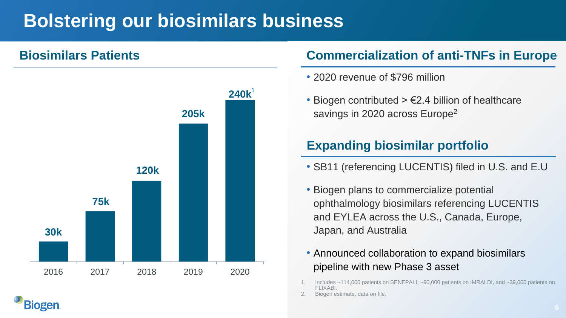# **Bolstering our biosimilars business**

**Biogen** 



#### **Biosimilars Patients Commercialization of anti-TNFs in Europe**

- 2020 revenue of \$796 million
- Biogen contributed  $> \epsilon$ 2.4 billion of healthcare savings in 2020 across Europe<sup>2</sup>

### **Expanding biosimilar portfolio**

- SB11 (referencing LUCENTIS) filed in U.S. and E.U
- Biogen plans to commercialize potential ophthalmology biosimilars referencing LUCENTIS and EYLEA across the U.S., Canada, Europe, Japan, and Australia
- Announced collaboration to expand biosimilars pipeline with new Phase 3 asset
- Includes ~114,000 patients on BENEPALI, ~90,000 patients on IMRALDI, and ~39,000 patients on FLIXABI.
- Biogen estimate, data on file.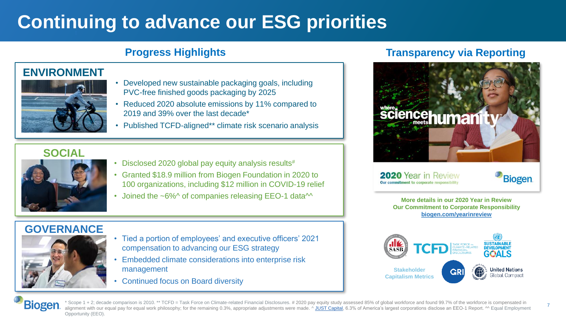# **Continuing to advance our ESG priorities**

#### **ENVIRONMENT**



- Developed new sustainable packaging goals, including PVC-free finished goods packaging by 2025
- Reduced 2020 absolute emissions by 11% compared to 2019 and 39% over the last decade\*
- Published TCFD-aligned\*\* climate risk scenario analysis

#### **SOCIAL**



- Disclosed 2020 global pay equity analysis results#
- Granted \$18.9 million from Biogen Foundation in 2020 to 100 organizations, including \$12 million in COVID-19 relief
- Joined the  $~6\%$ ^ of companies releasing EEO-1 data $\sim$

# **GOVERNANCE**



- Tied a portion of employees' and executive officers' 2021 compensation to advancing our ESG strategy
- Embedded climate considerations into enterprise risk management
- Continued focus on Board diversity

#### **Progress Highlights Transparency via Reporting**



2020 Year in Review Our commitment to corporate responsibil



7

**More details in our 2020 Year in Review Our Commitment to Corporate Responsibility biogen.com/yearinreview**



**Biogen** \* Scope 1 + 2; decade comparison is 2010. \*\* TCFD = Task Force on Climate-related Financial Disclosures. # 2020 pay equity study assessed 85% of global workforce and found 99.7% of the workforce is compensated in alignment with our equal pay for equal work philosophy; for the remaining 0.3%, appropriate adjustments were made. ^ [JUST Capital](https://justcapital.com/news/a-small-fraction-of-corporations-share-diversity-data-but-disclosure-is-rapidly-on-the-rise/), 6.3% of America's largest corporations disclose an EEO-1 Report. ^^ Equal Employment Opportunity (EEO).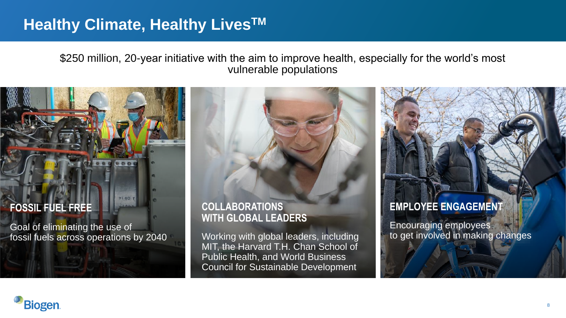## **Healthy Climate, Healthy LivesTM**

**Biogen** 

\$250 million, 20-year initiative with the aim to improve health, especially for the world's most vulnerable populations

### **FOSSIL FUEL FREE** Goal of eliminating the use of fossil fuels across operations by 2040 **COLLABORATIONS WITH GLOBAL LEADERS** Working with global leaders, including **EMPLOYEE ENGAGEMENT** Encouraging employees to get involved in making changes

MIT, the Harvard T.H. Chan School of Public Health, and World Business Council for Sustainable Development

#### 8